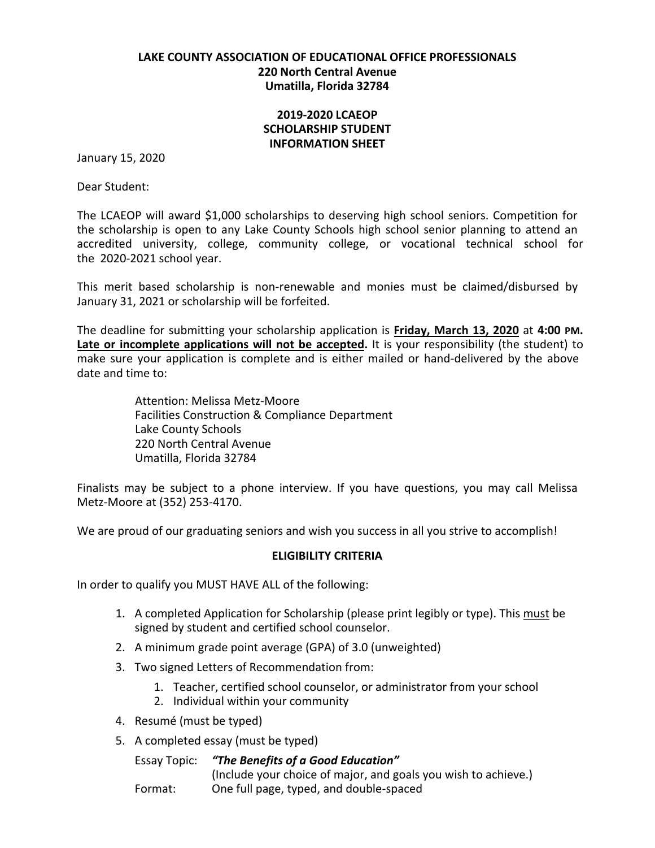### **LAKE COUNTY ASSOCIATION OF EDUCATIONAL OFFICE PROFESSIONALS 220 North Central Avenue Umatilla, Florida 32784**

### **2019‐2020 LCAEOP SCHOLARSHIP STUDENT INFORMATION SHEET**

January 15, 2020

Dear Student:

The LCAEOP will award \$1,000 scholarships to deserving high school seniors. Competition for the scholarship is open to any Lake County Schools high school senior planning to attend an accredited university, college, community college, or vocational technical school for the 2020‐2021 school year.

This merit based scholarship is non‐renewable and monies must be claimed/disbursed by January 31, 2021 or scholarship will be forfeited.

The deadline for submitting your scholarship application is **Friday, March 13, 2020** at **4:00 PM. Late or incomplete applications will not be accepted.** It is your responsibility (the student) to make sure your application is complete and is either mailed or hand‐delivered by the above date and time to:

> Attention: Melissa Metz-Moore Facilities Construction & Compliance Department Lake County Schools 220 North Central Avenue Umatilla, Florida 32784

Finalists may be subject to a phone interview. If you have questions, you may call Melissa Metz-Moore at (352) 253‐4170.

We are proud of our graduating seniors and wish you success in all you strive to accomplish!

### **ELIGIBILITY CRITERIA**

In order to qualify you MUST HAVE ALL of the following:

- 1. A completed Application for Scholarship (please print legibly or type). This must be signed by student and certified school counselor.
- 2. A minimum grade point average (GPA) of 3.0 (unweighted)
- 3. Two signed Letters of Recommendation from:
	- 1. Teacher, certified school counselor, or administrator from your school
	- 2. Individual within your community
- 4. Resumé (must be typed)
- 5. A completed essay (must be typed)

Essay Topic: *"The Benefits of a Good Education"* (Include your choice of major, and goals you wish to achieve.) Format: One full page, typed, and double‐spaced